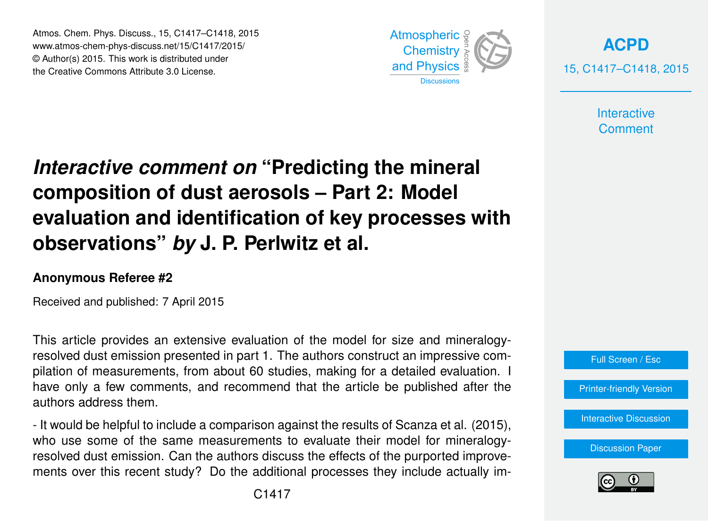Atmos. Chem. Phys. Discuss., 15, C1417–C1418, 2015 www.atmos-chem-phys-discuss.net/15/C1417/2015/ © Author(s) 2015. This work is distributed under the Creative Commons Attribute 3.0 License.



**[ACPD](http://www.atmos-chem-phys-discuss.net)** 15, C1417–C1418, 2015

> **Interactive Comment**

## *Interactive comment on* **"Predicting the mineral composition of dust aerosols – Part 2: Model evaluation and identification of key processes with observations"** *by* **J. P. Perlwitz et al.**

## **Anonymous Referee #2**

Received and published: 7 April 2015

This article provides an extensive evaluation of the model for size and mineralogyresolved dust emission presented in part 1. The authors construct an impressive compilation of measurements, from about 60 studies, making for a detailed evaluation. I have only a few comments, and recommend that the article be published after the authors address them.

- It would be helpful to include a comparison against the results of Scanza et al. (2015), who use some of the same measurements to evaluate their model for mineralogyresolved dust emission. Can the authors discuss the effects of the purported improvements over this recent study? Do the additional processes they include actually im-